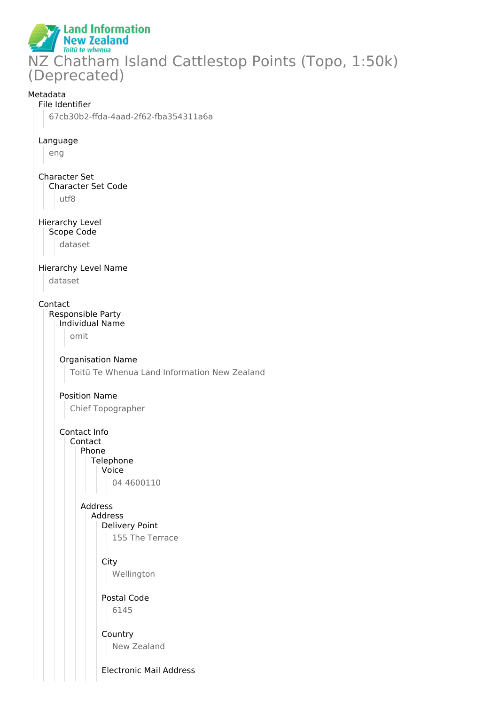**Land Information New Zealand** Toitū te whenua NZ Chatham Island Cattlestop Points (Topo, 1:50k) (Deprecated)

### Metadata

#### File Identifier

67cb30b2-ffda-4aad-2f62-fba354311a6a

#### Language

eng

Character Set Character Set Code utf8

#### Hierarchy Level Scope Code

dataset

## Hierarchy Level Name

dataset

#### Contact

Responsible Party

#### Individual Name

omit

### Organisation Name

Toitū Te Whenua Land Information New Zealand

#### Position Name

Chief Topographer

Contact Info Contact Phone **Telephone** Voice 04 4600110

## Address Address

- Delivery Point 155 The Terrace
- **City** Wellington

Postal Code 6145

#### **Country** New Zealand

Electronic Mail Address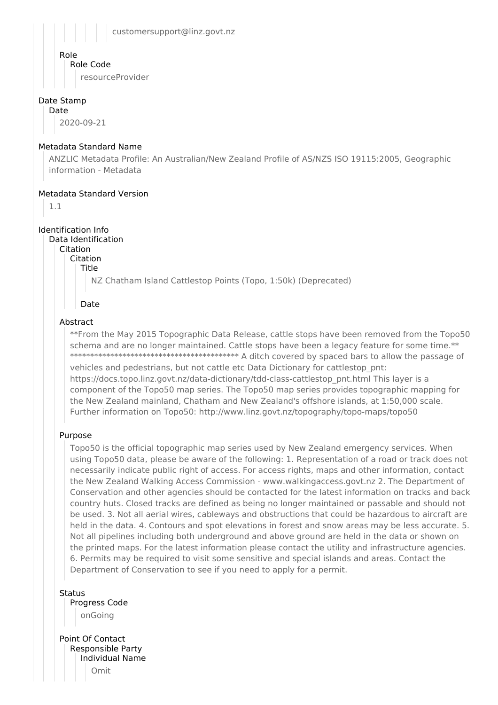customersupport@linz.govt.nz

#### Role

Role Code

resourceProvider

## Date Stamp

Date

2020-09-21

#### Metadata Standard Name

ANZLIC Metadata Profile: An Australian/New Zealand Profile of AS/NZS ISO 19115:2005, Geographic information - Metadata

#### Metadata Standard Version

1.1

Identification Info

Data Identification Citation

Citation

Title

NZ Chatham Island Cattlestop Points (Topo, 1:50k) (Deprecated)

#### Date

## Abstract

\*\*From the May 2015 Topographic Data Release, cattle stops have been removed from the Topo50 schema and are no longer maintained. Cattle stops have been a legacy feature for some time.\*\* \*\*\*\*\*\*\*\*\*\*\*\*\*\*\*\*\*\*\*\*\*\*\*\*\*\*\*\*\*\*\*\*\*\*\*\*\*\*\*\*\*\* A ditch covered by spaced bars to allow the passage of vehicles and pedestrians, but not cattle etc Data Dictionary for cattlestop\_pnt: https://docs.topo.linz.govt.nz/data-dictionary/tdd-class-cattlestop\_pnt.html This layer is a component of the Topo50 map series. The Topo50 map series provides topographic mapping for the New Zealand mainland, Chatham and New Zealand's offshore islands, at 1:50,000 scale. Further information on Topo50: http://www.linz.govt.nz/topography/topo-maps/topo50

## Purpose

Topo50 is the official topographic map series used by New Zealand emergency services. When using Topo50 data, please be aware of the following: 1. Representation of a road or track does not necessarily indicate public right of access. For access rights, maps and other information, contact the New Zealand Walking Access Commission - www.walkingaccess.govt.nz 2. The Department of Conservation and other agencies should be contacted for the latest information on tracks and back country huts. Closed tracks are defined as being no longer maintained or passable and should not be used. 3. Not all aerial wires, cableways and obstructions that could be hazardous to aircraft are held in the data. 4. Contours and spot elevations in forest and snow areas may be less accurate. 5. Not all pipelines including both underground and above ground are held in the data or shown on the printed maps. For the latest information please contact the utility and infrastructure agencies. 6. Permits may be required to visit some sensitive and special islands and areas. Contact the Department of Conservation to see if you need to apply for a permit.

Status Progress Code onGoing

Point Of Contact Responsible Party Individual Name Omit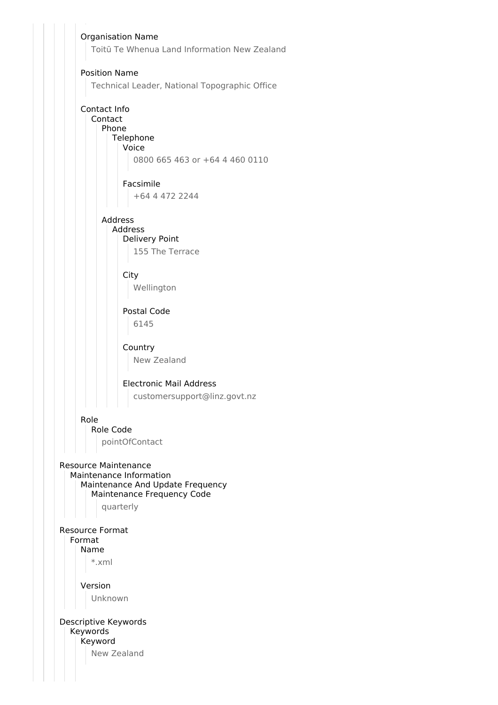Organisation Name Toitū Te Whenua Land Information New Zealand Position Name Technical Leader, National Topographic Office Contact Info Contact Phone Telephone Voice 0800 665 463 or +64 4 460 0110 Facsimile +64 4 472 2244 Address Address Delivery Point 155 The Terrace **City** Wellington Postal Code 6145 Country New Zealand Electronic Mail Address customersupport@linz.govt.nz Role Role Code pointOfContact Resource Maintenance Maintenance Information Maintenance And Update Frequency Maintenance Frequency Code quarterly Resource Format Format Name \*.xml Version Unknown Descriptive Keywords Keywords Keyword New Zealand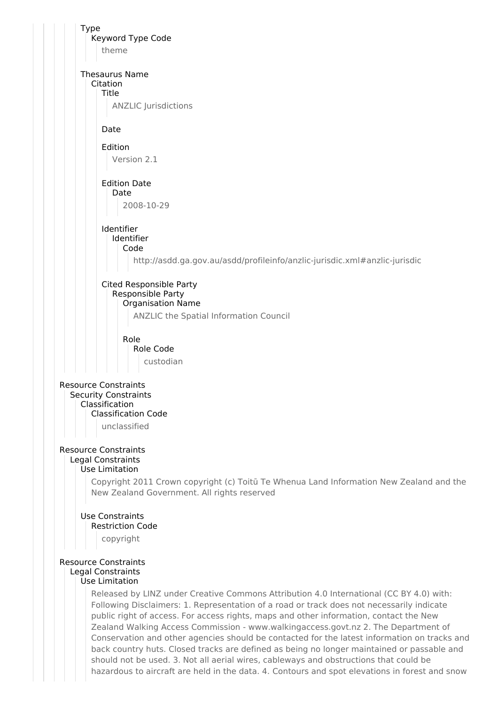Type Keyword Type Code theme Thesaurus Name Citation Title ANZLIC Jurisdictions Date Edition Version 2.1 Edition Date Date 2008-10-29 Identifier Identifier Code http://asdd.ga.gov.au/asdd/profileinfo/anzlic-jurisdic.xml#anzlic-jurisdic Cited Responsible Party Responsible Party Organisation Name ANZLIC the Spatial Information Council Role Role Code custodian Resource Constraints Security Constraints Classification Classification Code unclassified Resource Constraints Legal Constraints Use Limitation Copyright 2011 Crown copyright (c) Toitū Te Whenua Land Information New Zealand and the New Zealand Government. All rights reserved Use Constraints Restriction Code copyright

#### Resource Constraints Legal Constraints Use Limitation

Released by LINZ under Creative Commons Attribution 4.0 International (CC BY 4.0) with: Following Disclaimers: 1. Representation of a road or track does not necessarily indicate public right of access. For access rights, maps and other information, contact the New Zealand Walking Access Commission - www.walkingaccess.govt.nz 2. The Department of Conservation and other agencies should be contacted for the latest information on tracks and back country huts. Closed tracks are defined as being no longer maintained or passable and should not be used. 3. Not all aerial wires, cableways and obstructions that could be hazardous to aircraft are held in the data. 4. Contours and spot elevations in forest and snow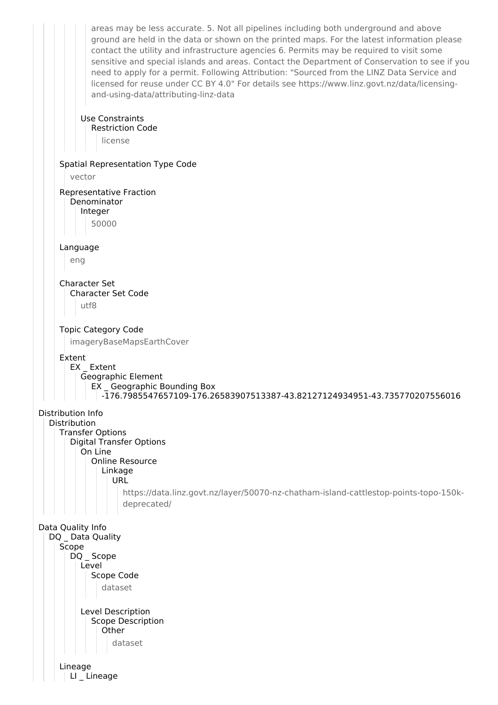areas may be less accurate. 5. Not all pipelines including both underground and above ground are held in the data or shown on the printed maps. For the latest information please contact the utility and infrastructure agencies 6. Permits may be required to visit some sensitive and special islands and areas. Contact the Department of Conservation to see if you need to apply for a permit. Following Attribution: "Sourced from the LINZ Data Service and licensed for reuse under CC BY 4.0" For details see https://www.linz.govt.nz/data/licensingand-using-data/attributing-linz-data Use Constraints Restriction Code license Spatial Representation Type Code vector Representative Fraction Denominator Integer 50000 Language eng Character Set Character Set Code utf8 Topic Category Code imageryBaseMapsEarthCover Extent EX Extent Geographic Element EX \_ Geographic Bounding Box -176.7985547657109-176.26583907513387-43.82127124934951-43.735770207556016 Distribution Info Distribution Transfer Options Digital Transfer Options On Line Online Resource Linkage URL https://data.linz.govt.nz/layer/50070-nz-chatham-island-cattlestop-points-topo-150kdeprecated/ Data Quality Info DQ Data Quality Scope DQ Scope Level Scope Code dataset Level Description Scope Description **Other** dataset Lineage LI Lineage